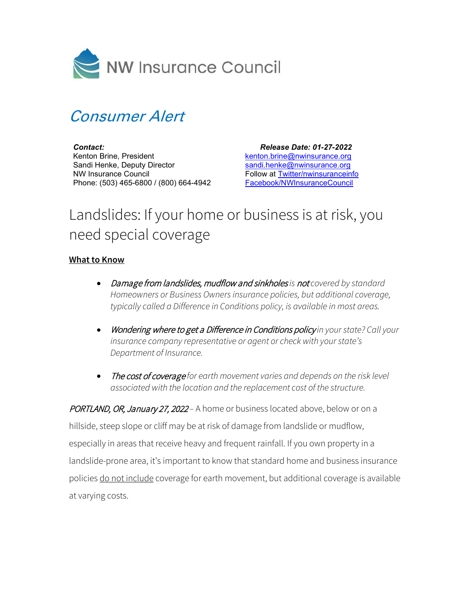

## Consumer Alert

*Contact:* Kenton Brine, President Sandi Henke, Deputy Director NW Insurance Council Phone: (503) 465-6800 / (800) 664-4942

 *Release Date: 01-27-2022* [kenton.brine@nwinsurance.org](mailto:kenton.brine@nwinsurance.org) [sandi.henke@nwinsurance.org](mailto:sandi.henke@nwinsurance.org) Follow at [Twitter/nwinsuranceinfo](http://twitter.com/#!/nwinsuranceinfo) [Facebook/NWInsuranceCouncil](https://www.facebook.com/NWInsuranceCouncil)

## Landslides: If your home or business is at risk, you need special coverage

## **What to Know**

- Damage from landslides, mudflow and sinkholes *is* not *covered by standard Homeowners or Business Owners insurance policies, but additional coverage, typically called a Difference in Conditions policy, is available in most areas.*
- Wondering where to get a Difference in Conditions policy *in your state? Call your insurance company representative or agent or check with your state's Department of Insurance.*
- The cost of coverage *for earth movement varies and depends on the risk level associated with the location and the replacement cost of the structure.*

PORTLAND, OR, January 27, 2022 - A home or business located above, below or on a hillside, steep slope or cliff may be at risk of damage from landslide or mudflow, especially in areas that receive heavy and frequent rainfall. If you own property in a landslide-prone area, it's important to know that standard home and business insurance policies do not include coverage for earth movement, but additional coverage is available at varying costs.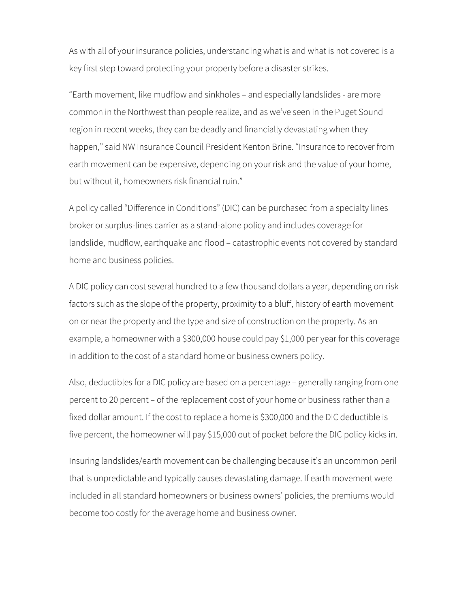As with all of your insurance policies, understanding what is and what is not covered is a key first step toward protecting your property before a disaster strikes.

"Earth movement, like mudflow and sinkholes – and especially landslides - are more common in the Northwest than people realize, and as we've seen in the Puget Sound region in recent weeks, they can be deadly and financially devastating when they happen," said NW Insurance Council President Kenton Brine. "Insurance to recover from earth movement can be expensive, depending on your risk and the value of your home, but without it, homeowners risk financial ruin."

A policy called "Difference in Conditions" (DIC) can be purchased from a specialty lines broker or surplus-lines carrier as a stand-alone policy and includes coverage for landslide, mudflow, earthquake and flood – catastrophic events not covered by standard home and business policies.

A DIC policy can cost several hundred to a few thousand dollars a year, depending on risk factors such as the slope of the property, proximity to a bluff, history of earth movement on or near the property and the type and size of construction on the property. As an example, a homeowner with a \$300,000 house could pay \$1,000 per year for this coverage in addition to the cost of a standard home or business owners policy.

Also, deductibles for a DIC policy are based on a percentage – generally ranging from one percent to 20 percent – of the replacement cost of your home or business rather than a fixed dollar amount. If the cost to replace a home is \$300,000 and the DIC deductible is five percent, the homeowner will pay \$15,000 out of pocket before the DIC policy kicks in.

Insuring landslides/earth movement can be challenging because it's an uncommon peril that is unpredictable and typically causes devastating damage. If earth movement were included in all standard homeowners or business owners' policies, the premiums would become too costly for the average home and business owner.